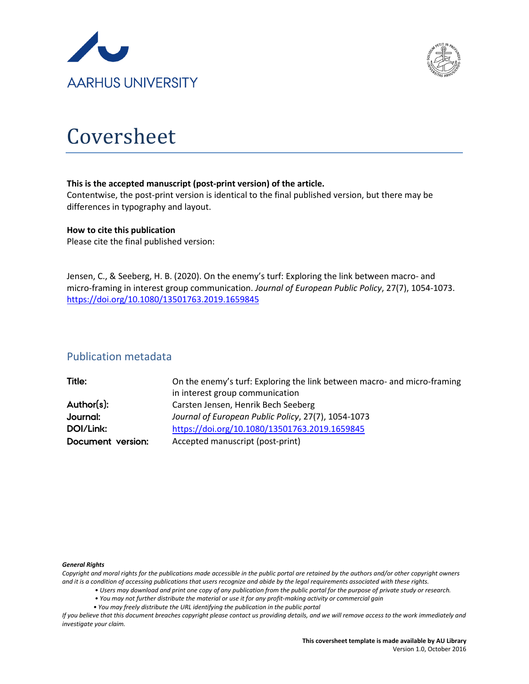



# Coversheet

#### **This is the accepted manuscript (post-print version) of the article.**

Contentwise, the post-print version is identical to the final published version, but there may be differences in typography and layout.

#### **How to cite this publication**

Please cite the final published version:

Jensen, C., & Seeberg, H. B. (2020). On the enemy's turf: Exploring the link between macro- and micro-framing in interest group communication. *Journal of European Public Policy*, 27(7), 1054-1073. <https://doi.org/10.1080/13501763.2019.1659845>

### Publication metadata

| Title:            | On the enemy's turf: Exploring the link between macro- and micro-framing |
|-------------------|--------------------------------------------------------------------------|
|                   | in interest group communication                                          |
| Author(s):        | Carsten Jensen, Henrik Bech Seeberg                                      |
| Journal:          | Journal of European Public Policy, 27(7), 1054-1073                      |
| DOI/Link:         | https://doi.org/10.1080/13501763.2019.1659845                            |
| Document version: | Accepted manuscript (post-print)                                         |

#### *General Rights*

*Copyright and moral rights for the publications made accessible in the public portal are retained by the authors and/or other copyright owners and it is a condition of accessing publications that users recognize and abide by the legal requirements associated with these rights.*

- *Users may download and print one copy of any publication from the public portal for the purpose of private study or research.*
- *You may not further distribute the material or use it for any profit-making activity or commercial gain*
- *You may freely distribute the URL identifying the publication in the public portal*

*If you believe that this document breaches copyright please contact us providing details, and we will remove access to the work immediately and investigate your claim.*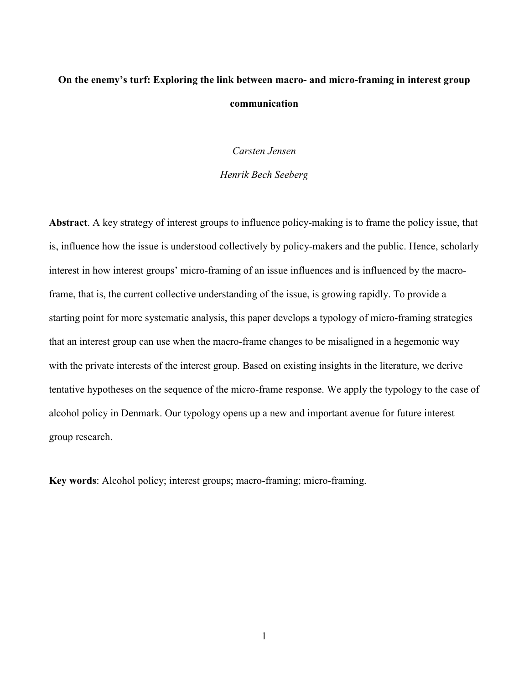## **On the enemy's turf: Exploring the link between macro- and micro-framing in interest group communication**

#### *Carsten Jensen*

#### *Henrik Bech Seeberg*

**Abstract**. A key strategy of interest groups to influence policy-making is to frame the policy issue, that is, influence how the issue is understood collectively by policy-makers and the public. Hence, scholarly interest in how interest groups' micro-framing of an issue influences and is influenced by the macroframe, that is, the current collective understanding of the issue, is growing rapidly. To provide a starting point for more systematic analysis, this paper develops a typology of micro-framing strategies that an interest group can use when the macro-frame changes to be misaligned in a hegemonic way with the private interests of the interest group. Based on existing insights in the literature, we derive tentative hypotheses on the sequence of the micro-frame response. We apply the typology to the case of alcohol policy in Denmark. Our typology opens up a new and important avenue for future interest group research.

**Key words**: Alcohol policy; interest groups; macro-framing; micro-framing.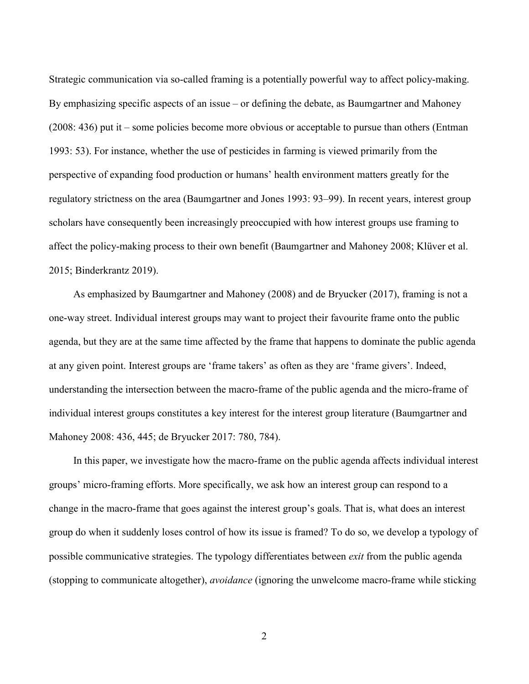Strategic communication via so-called framing is a potentially powerful way to affect policy-making. By emphasizing specific aspects of an issue – or defining the debate, as Baumgartner and Mahoney (2008: 436) put it – some policies become more obvious or acceptable to pursue than others (Entman 1993: 53). For instance, whether the use of pesticides in farming is viewed primarily from the perspective of expanding food production or humans' health environment matters greatly for the regulatory strictness on the area (Baumgartner and Jones 1993: 93–99). In recent years, interest group scholars have consequently been increasingly preoccupied with how interest groups use framing to affect the policy-making process to their own benefit (Baumgartner and Mahoney 2008; Klüver et al. 2015; Binderkrantz 2019).

As emphasized by Baumgartner and Mahoney (2008) and de Bryucker (2017), framing is not a one-way street. Individual interest groups may want to project their favourite frame onto the public agenda, but they are at the same time affected by the frame that happens to dominate the public agenda at any given point. Interest groups are 'frame takers' as often as they are 'frame givers'. Indeed, understanding the intersection between the macro-frame of the public agenda and the micro-frame of individual interest groups constitutes a key interest for the interest group literature (Baumgartner and Mahoney 2008: 436, 445; de Bryucker 2017: 780, 784).

In this paper, we investigate how the macro-frame on the public agenda affects individual interest groups' micro-framing efforts. More specifically, we ask how an interest group can respond to a change in the macro-frame that goes against the interest group's goals. That is, what does an interest group do when it suddenly loses control of how its issue is framed? To do so, we develop a typology of possible communicative strategies. The typology differentiates between *exit* from the public agenda (stopping to communicate altogether), *avoidance* (ignoring the unwelcome macro-frame while sticking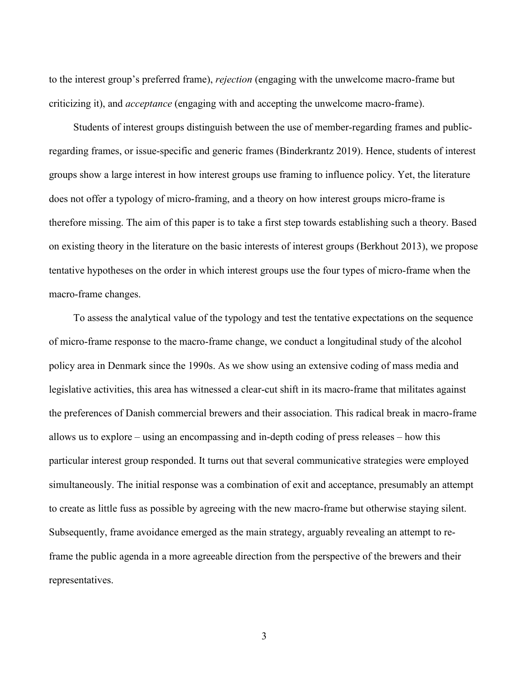to the interest group's preferred frame), *rejection* (engaging with the unwelcome macro-frame but criticizing it), and *acceptance* (engaging with and accepting the unwelcome macro-frame).

Students of interest groups distinguish between the use of member-regarding frames and publicregarding frames, or issue-specific and generic frames (Binderkrantz 2019). Hence, students of interest groups show a large interest in how interest groups use framing to influence policy. Yet, the literature does not offer a typology of micro-framing, and a theory on how interest groups micro-frame is therefore missing. The aim of this paper is to take a first step towards establishing such a theory. Based on existing theory in the literature on the basic interests of interest groups (Berkhout 2013), we propose tentative hypotheses on the order in which interest groups use the four types of micro-frame when the macro-frame changes.

To assess the analytical value of the typology and test the tentative expectations on the sequence of micro-frame response to the macro-frame change, we conduct a longitudinal study of the alcohol policy area in Denmark since the 1990s. As we show using an extensive coding of mass media and legislative activities, this area has witnessed a clear-cut shift in its macro-frame that militates against the preferences of Danish commercial brewers and their association. This radical break in macro-frame allows us to explore – using an encompassing and in-depth coding of press releases – how this particular interest group responded. It turns out that several communicative strategies were employed simultaneously. The initial response was a combination of exit and acceptance, presumably an attempt to create as little fuss as possible by agreeing with the new macro-frame but otherwise staying silent. Subsequently, frame avoidance emerged as the main strategy, arguably revealing an attempt to reframe the public agenda in a more agreeable direction from the perspective of the brewers and their representatives.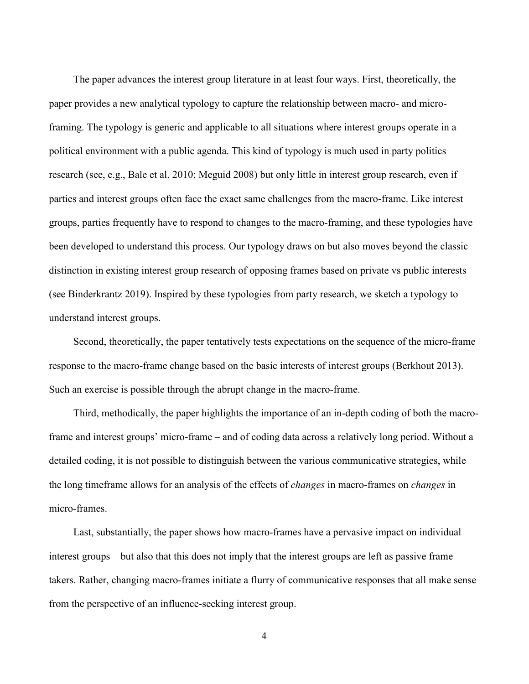The paper advances the interest group literature in at least four ways. First, theoretically, the paper provides a new analytical typology to capture the relationship between macro- and microframing. The typology is generic and applicable to all situations where interest groups operate in a political environment with a public agenda. This kind of typology is much used in party politics research (see, e.g., Bale et al. 2010; Meguid 2008) but only little in interest group research, even if parties and interest groups often face the exact same challenges from the macro-frame. Like interest groups, parties frequently have to respond to changes to the macro-framing, and these typologies have been developed to understand this process. Our typology draws on but also moves beyond the classic distinction in existing interest group research of opposing frames based on private vs public interests (see Binderkrantz 2019). Inspired by these typologies from party research, we sketch a typology to understand interest groups.

Second, theoretically, the paper tentatively tests expectations on the sequence of the micro-frame response to the macro-frame change based on the basic interests of interest groups (Berkhout 2013). Such an exercise is possible through the abrupt change in the macro-frame.

Third, methodically, the paper highlights the importance of an in-depth coding of both the macroframe and interest groups' micro-frame – and of coding data across a relatively long period. Without a detailed coding, it is not possible to distinguish between the various communicative strategies, while the long timeframe allows for an analysis of the effects of *changes* in macro-frames on *changes* in micro-frames.

Last, substantially, the paper shows how macro-frames have a pervasive impact on individual interest groups – but also that this does not imply that the interest groups are left as passive frame takers. Rather, changing macro-frames initiate a flurry of communicative responses that all make sense from the perspective of an influence-seeking interest group.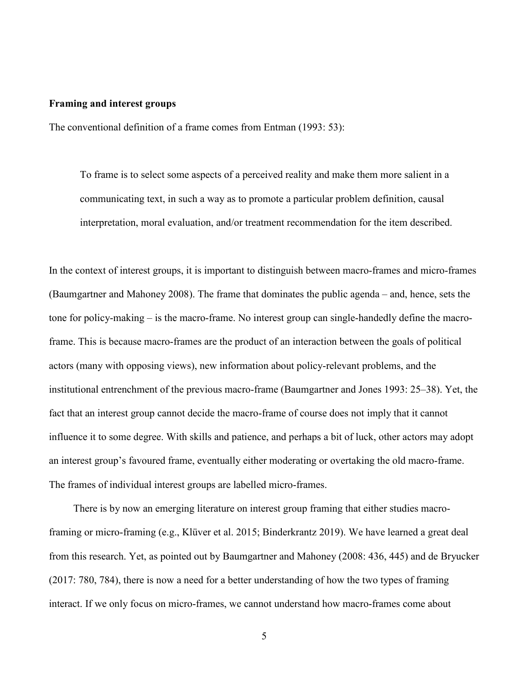#### **Framing and interest groups**

The conventional definition of a frame comes from Entman (1993: 53):

To frame is to select some aspects of a perceived reality and make them more salient in a communicating text, in such a way as to promote a particular problem definition, causal interpretation, moral evaluation, and/or treatment recommendation for the item described.

In the context of interest groups, it is important to distinguish between macro-frames and micro-frames (Baumgartner and Mahoney 2008). The frame that dominates the public agenda – and, hence, sets the tone for policy-making – is the macro-frame. No interest group can single-handedly define the macroframe. This is because macro-frames are the product of an interaction between the goals of political actors (many with opposing views), new information about policy-relevant problems, and the institutional entrenchment of the previous macro-frame (Baumgartner and Jones 1993: 25–38). Yet, the fact that an interest group cannot decide the macro-frame of course does not imply that it cannot influence it to some degree. With skills and patience, and perhaps a bit of luck, other actors may adopt an interest group's favoured frame, eventually either moderating or overtaking the old macro-frame. The frames of individual interest groups are labelled micro-frames.

There is by now an emerging literature on interest group framing that either studies macroframing or micro-framing (e.g., Klüver et al. 2015; Binderkrantz 2019). We have learned a great deal from this research. Yet, as pointed out by Baumgartner and Mahoney (2008: 436, 445) and de Bryucker (2017: 780, 784), there is now a need for a better understanding of how the two types of framing interact. If we only focus on micro-frames, we cannot understand how macro-frames come about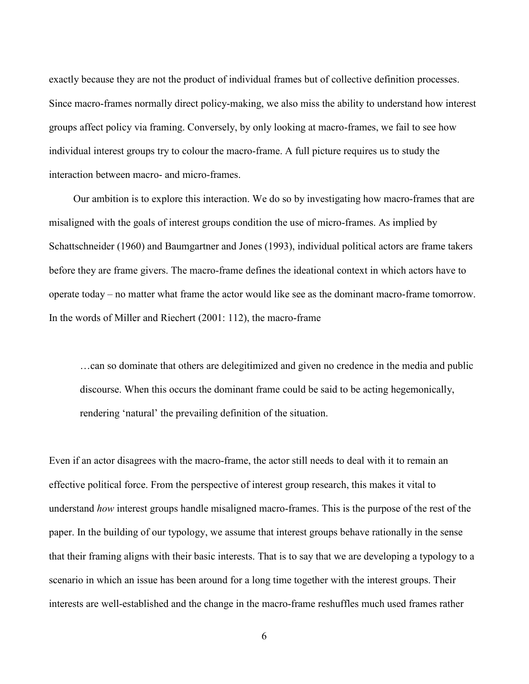exactly because they are not the product of individual frames but of collective definition processes. Since macro-frames normally direct policy-making, we also miss the ability to understand how interest groups affect policy via framing. Conversely, by only looking at macro-frames, we fail to see how individual interest groups try to colour the macro-frame. A full picture requires us to study the interaction between macro- and micro-frames.

Our ambition is to explore this interaction. We do so by investigating how macro-frames that are misaligned with the goals of interest groups condition the use of micro-frames. As implied by Schattschneider (1960) and Baumgartner and Jones (1993), individual political actors are frame takers before they are frame givers. The macro-frame defines the ideational context in which actors have to operate today – no matter what frame the actor would like see as the dominant macro-frame tomorrow. In the words of Miller and Riechert (2001: 112), the macro-frame

…can so dominate that others are delegitimized and given no credence in the media and public discourse. When this occurs the dominant frame could be said to be acting hegemonically, rendering 'natural' the prevailing definition of the situation.

Even if an actor disagrees with the macro-frame, the actor still needs to deal with it to remain an effective political force. From the perspective of interest group research, this makes it vital to understand *how* interest groups handle misaligned macro-frames. This is the purpose of the rest of the paper. In the building of our typology, we assume that interest groups behave rationally in the sense that their framing aligns with their basic interests. That is to say that we are developing a typology to a scenario in which an issue has been around for a long time together with the interest groups. Their interests are well-established and the change in the macro-frame reshuffles much used frames rather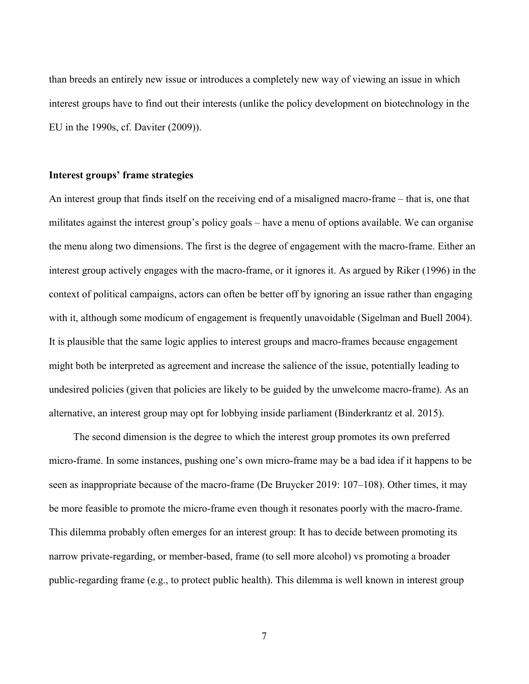than breeds an entirely new issue or introduces a completely new way of viewing an issue in which interest groups have to find out their interests (unlike the policy development on biotechnology in the EU in the 1990s, cf. Daviter (2009)).

#### **Interest groups' frame strategies**

An interest group that finds itself on the receiving end of a misaligned macro-frame – that is, one that militates against the interest group's policy goals – have a menu of options available. We can organise the menu along two dimensions. The first is the degree of engagement with the macro-frame. Either an interest group actively engages with the macro-frame, or it ignores it. As argued by Riker (1996) in the context of political campaigns, actors can often be better off by ignoring an issue rather than engaging with it, although some modicum of engagement is frequently unavoidable (Sigelman and Buell 2004). It is plausible that the same logic applies to interest groups and macro-frames because engagement might both be interpreted as agreement and increase the salience of the issue, potentially leading to undesired policies (given that policies are likely to be guided by the unwelcome macro-frame). As an alternative, an interest group may opt for lobbying inside parliament (Binderkrantz et al. 2015).

The second dimension is the degree to which the interest group promotes its own preferred micro-frame. In some instances, pushing one's own micro-frame may be a bad idea if it happens to be seen as inappropriate because of the macro-frame (De Bruycker 2019: 107–108). Other times, it may be more feasible to promote the micro-frame even though it resonates poorly with the macro-frame. This dilemma probably often emerges for an interest group: It has to decide between promoting its narrow private-regarding, or member-based, frame (to sell more alcohol) vs promoting a broader public-regarding frame (e.g., to protect public health). This dilemma is well known in interest group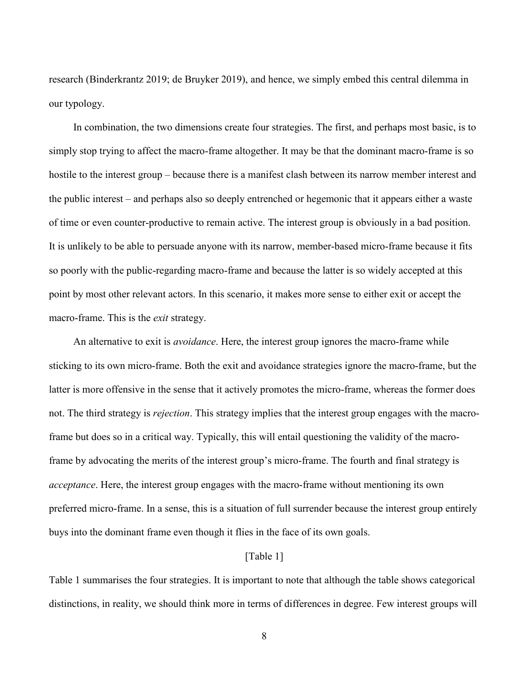research (Binderkrantz 2019; de Bruyker 2019), and hence, we simply embed this central dilemma in our typology.

In combination, the two dimensions create four strategies. The first, and perhaps most basic, is to simply stop trying to affect the macro-frame altogether. It may be that the dominant macro-frame is so hostile to the interest group – because there is a manifest clash between its narrow member interest and the public interest – and perhaps also so deeply entrenched or hegemonic that it appears either a waste of time or even counter-productive to remain active. The interest group is obviously in a bad position. It is unlikely to be able to persuade anyone with its narrow, member-based micro-frame because it fits so poorly with the public-regarding macro-frame and because the latter is so widely accepted at this point by most other relevant actors. In this scenario, it makes more sense to either exit or accept the macro-frame. This is the *exit* strategy.

An alternative to exit is *avoidance*. Here, the interest group ignores the macro-frame while sticking to its own micro-frame. Both the exit and avoidance strategies ignore the macro-frame, but the latter is more offensive in the sense that it actively promotes the micro-frame, whereas the former does not. The third strategy is *rejection*. This strategy implies that the interest group engages with the macroframe but does so in a critical way. Typically, this will entail questioning the validity of the macroframe by advocating the merits of the interest group's micro-frame. The fourth and final strategy is *acceptance*. Here, the interest group engages with the macro-frame without mentioning its own preferred micro-frame. In a sense, this is a situation of full surrender because the interest group entirely buys into the dominant frame even though it flies in the face of its own goals.

#### [Table 1]

Table 1 summarises the four strategies. It is important to note that although the table shows categorical distinctions, in reality, we should think more in terms of differences in degree. Few interest groups will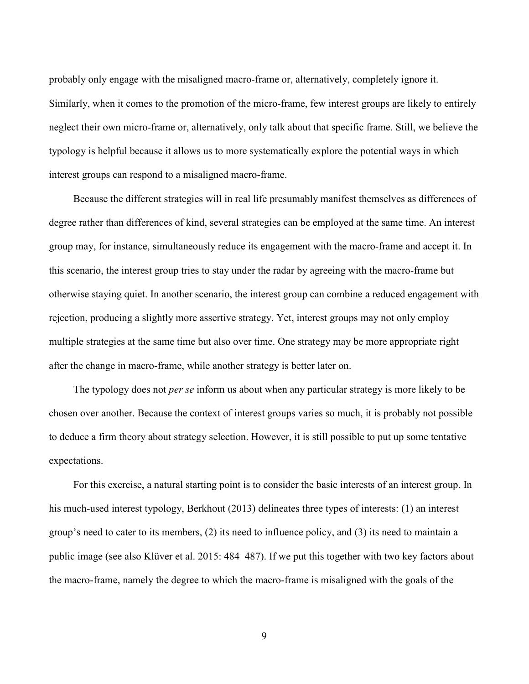probably only engage with the misaligned macro-frame or, alternatively, completely ignore it. Similarly, when it comes to the promotion of the micro-frame, few interest groups are likely to entirely neglect their own micro-frame or, alternatively, only talk about that specific frame. Still, we believe the typology is helpful because it allows us to more systematically explore the potential ways in which interest groups can respond to a misaligned macro-frame.

Because the different strategies will in real life presumably manifest themselves as differences of degree rather than differences of kind, several strategies can be employed at the same time. An interest group may, for instance, simultaneously reduce its engagement with the macro-frame and accept it. In this scenario, the interest group tries to stay under the radar by agreeing with the macro-frame but otherwise staying quiet. In another scenario, the interest group can combine a reduced engagement with rejection, producing a slightly more assertive strategy. Yet, interest groups may not only employ multiple strategies at the same time but also over time. One strategy may be more appropriate right after the change in macro-frame, while another strategy is better later on.

The typology does not *per se* inform us about when any particular strategy is more likely to be chosen over another. Because the context of interest groups varies so much, it is probably not possible to deduce a firm theory about strategy selection. However, it is still possible to put up some tentative expectations.

For this exercise, a natural starting point is to consider the basic interests of an interest group. In his much-used interest typology, Berkhout (2013) delineates three types of interests: (1) an interest group's need to cater to its members, (2) its need to influence policy, and (3) its need to maintain a public image (see also Klüver et al. 2015: 484–487). If we put this together with two key factors about the macro-frame, namely the degree to which the macro-frame is misaligned with the goals of the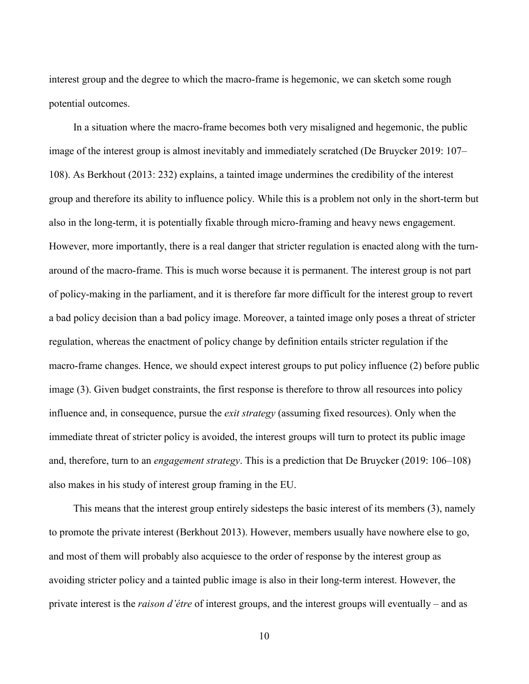interest group and the degree to which the macro-frame is hegemonic, we can sketch some rough potential outcomes.

In a situation where the macro-frame becomes both very misaligned and hegemonic, the public image of the interest group is almost inevitably and immediately scratched (De Bruycker 2019: 107– 108). As Berkhout (2013: 232) explains, a tainted image undermines the credibility of the interest group and therefore its ability to influence policy. While this is a problem not only in the short-term but also in the long-term, it is potentially fixable through micro-framing and heavy news engagement. However, more importantly, there is a real danger that stricter regulation is enacted along with the turnaround of the macro-frame. This is much worse because it is permanent. The interest group is not part of policy-making in the parliament, and it is therefore far more difficult for the interest group to revert a bad policy decision than a bad policy image. Moreover, a tainted image only poses a threat of stricter regulation, whereas the enactment of policy change by definition entails stricter regulation if the macro-frame changes. Hence, we should expect interest groups to put policy influence (2) before public image (3). Given budget constraints, the first response is therefore to throw all resources into policy influence and, in consequence, pursue the *exit strategy* (assuming fixed resources). Only when the immediate threat of stricter policy is avoided, the interest groups will turn to protect its public image and, therefore, turn to an *engagement strategy*. This is a prediction that De Bruycker (2019: 106–108) also makes in his study of interest group framing in the EU.

This means that the interest group entirely sidesteps the basic interest of its members (3), namely to promote the private interest (Berkhout 2013). However, members usually have nowhere else to go, and most of them will probably also acquiesce to the order of response by the interest group as avoiding stricter policy and a tainted public image is also in their long-term interest. However, the private interest is the *raison d'étre* of interest groups, and the interest groups will eventually – and as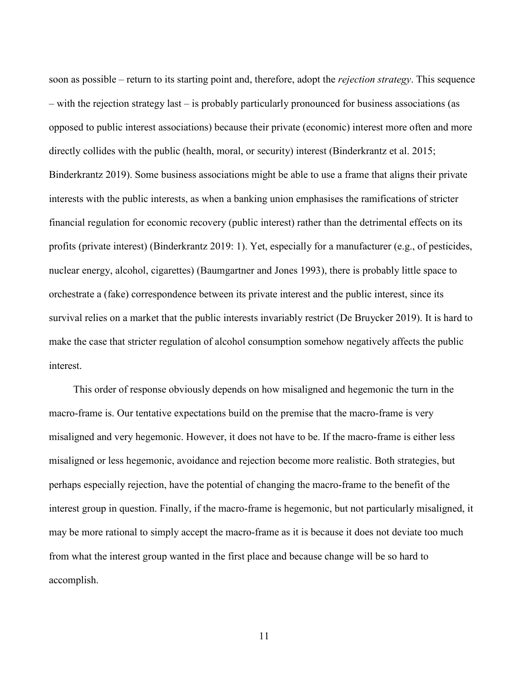soon as possible – return to its starting point and, therefore, adopt the *rejection strategy*. This sequence – with the rejection strategy last – is probably particularly pronounced for business associations (as opposed to public interest associations) because their private (economic) interest more often and more directly collides with the public (health, moral, or security) interest (Binderkrantz et al. 2015; Binderkrantz 2019). Some business associations might be able to use a frame that aligns their private interests with the public interests, as when a banking union emphasises the ramifications of stricter financial regulation for economic recovery (public interest) rather than the detrimental effects on its profits (private interest) (Binderkrantz 2019: 1). Yet, especially for a manufacturer (e.g., of pesticides, nuclear energy, alcohol, cigarettes) (Baumgartner and Jones 1993), there is probably little space to orchestrate a (fake) correspondence between its private interest and the public interest, since its survival relies on a market that the public interests invariably restrict (De Bruycker 2019). It is hard to make the case that stricter regulation of alcohol consumption somehow negatively affects the public interest.

This order of response obviously depends on how misaligned and hegemonic the turn in the macro-frame is. Our tentative expectations build on the premise that the macro-frame is very misaligned and very hegemonic. However, it does not have to be. If the macro-frame is either less misaligned or less hegemonic, avoidance and rejection become more realistic. Both strategies, but perhaps especially rejection, have the potential of changing the macro-frame to the benefit of the interest group in question. Finally, if the macro-frame is hegemonic, but not particularly misaligned, it may be more rational to simply accept the macro-frame as it is because it does not deviate too much from what the interest group wanted in the first place and because change will be so hard to accomplish.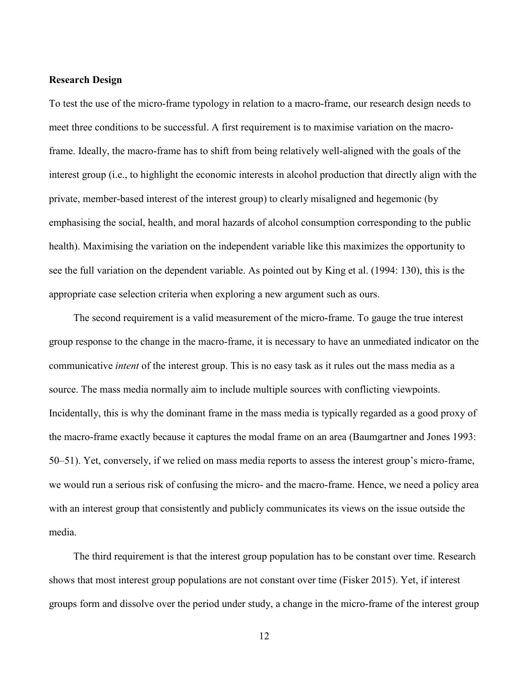#### **Research Design**

To test the use of the micro-frame typology in relation to a macro-frame, our research design needs to meet three conditions to be successful. A first requirement is to maximise variation on the macroframe. Ideally, the macro-frame has to shift from being relatively well-aligned with the goals of the interest group (i.e., to highlight the economic interests in alcohol production that directly align with the private, member-based interest of the interest group) to clearly misaligned and hegemonic (by emphasising the social, health, and moral hazards of alcohol consumption corresponding to the public health). Maximising the variation on the independent variable like this maximizes the opportunity to see the full variation on the dependent variable. As pointed out by King et al. (1994: 130), this is the appropriate case selection criteria when exploring a new argument such as ours.

The second requirement is a valid measurement of the micro-frame. To gauge the true interest group response to the change in the macro-frame, it is necessary to have an unmediated indicator on the communicative *intent* of the interest group. This is no easy task as it rules out the mass media as a source. The mass media normally aim to include multiple sources with conflicting viewpoints. Incidentally, this is why the dominant frame in the mass media is typically regarded as a good proxy of the macro-frame exactly because it captures the modal frame on an area (Baumgartner and Jones 1993: 50–51). Yet, conversely, if we relied on mass media reports to assess the interest group's micro-frame, we would run a serious risk of confusing the micro- and the macro-frame. Hence, we need a policy area with an interest group that consistently and publicly communicates its views on the issue outside the media.

The third requirement is that the interest group population has to be constant over time. Research shows that most interest group populations are not constant over time (Fisker 2015). Yet, if interest groups form and dissolve over the period under study, a change in the micro-frame of the interest group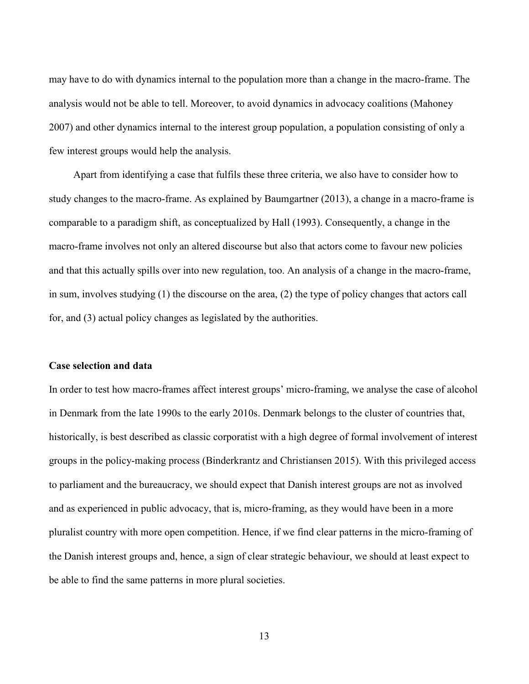may have to do with dynamics internal to the population more than a change in the macro-frame. The analysis would not be able to tell. Moreover, to avoid dynamics in advocacy coalitions (Mahoney 2007) and other dynamics internal to the interest group population, a population consisting of only a few interest groups would help the analysis.

Apart from identifying a case that fulfils these three criteria, we also have to consider how to study changes to the macro-frame. As explained by Baumgartner (2013), a change in a macro-frame is comparable to a paradigm shift, as conceptualized by Hall (1993). Consequently, a change in the macro-frame involves not only an altered discourse but also that actors come to favour new policies and that this actually spills over into new regulation, too. An analysis of a change in the macro-frame, in sum, involves studying (1) the discourse on the area, (2) the type of policy changes that actors call for, and (3) actual policy changes as legislated by the authorities.

#### **Case selection and data**

In order to test how macro-frames affect interest groups' micro-framing, we analyse the case of alcohol in Denmark from the late 1990s to the early 2010s. Denmark belongs to the cluster of countries that, historically, is best described as classic corporatist with a high degree of formal involvement of interest groups in the policy-making process (Binderkrantz and Christiansen 2015). With this privileged access to parliament and the bureaucracy, we should expect that Danish interest groups are not as involved and as experienced in public advocacy, that is, micro-framing, as they would have been in a more pluralist country with more open competition. Hence, if we find clear patterns in the micro-framing of the Danish interest groups and, hence, a sign of clear strategic behaviour, we should at least expect to be able to find the same patterns in more plural societies.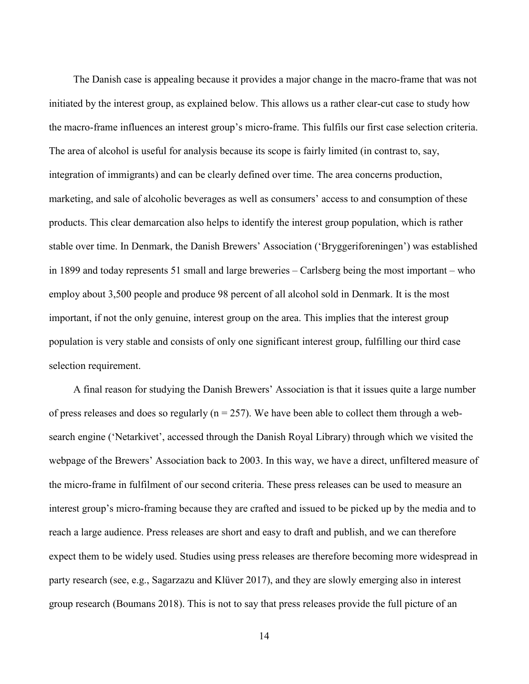The Danish case is appealing because it provides a major change in the macro-frame that was not initiated by the interest group, as explained below. This allows us a rather clear-cut case to study how the macro-frame influences an interest group's micro-frame. This fulfils our first case selection criteria. The area of alcohol is useful for analysis because its scope is fairly limited (in contrast to, say, integration of immigrants) and can be clearly defined over time. The area concerns production, marketing, and sale of alcoholic beverages as well as consumers' access to and consumption of these products. This clear demarcation also helps to identify the interest group population, which is rather stable over time. In Denmark, the Danish Brewers' Association ('Bryggeriforeningen') was established in 1899 and today represents 51 small and large breweries – Carlsberg being the most important – who employ about 3,500 people and produce 98 percent of all alcohol sold in Denmark. It is the most important, if not the only genuine, interest group on the area. This implies that the interest group population is very stable and consists of only one significant interest group, fulfilling our third case selection requirement.

A final reason for studying the Danish Brewers' Association is that it issues quite a large number of press releases and does so regularly ( $n = 257$ ). We have been able to collect them through a websearch engine ('Netarkivet', accessed through the Danish Royal Library) through which we visited the webpage of the Brewers' Association back to 2003. In this way, we have a direct, unfiltered measure of the micro-frame in fulfilment of our second criteria. These press releases can be used to measure an interest group's micro-framing because they are crafted and issued to be picked up by the media and to reach a large audience. Press releases are short and easy to draft and publish, and we can therefore expect them to be widely used. Studies using press releases are therefore becoming more widespread in party research (see, e.g., Sagarzazu and Klüver 2017), and they are slowly emerging also in interest group research (Boumans 2018). This is not to say that press releases provide the full picture of an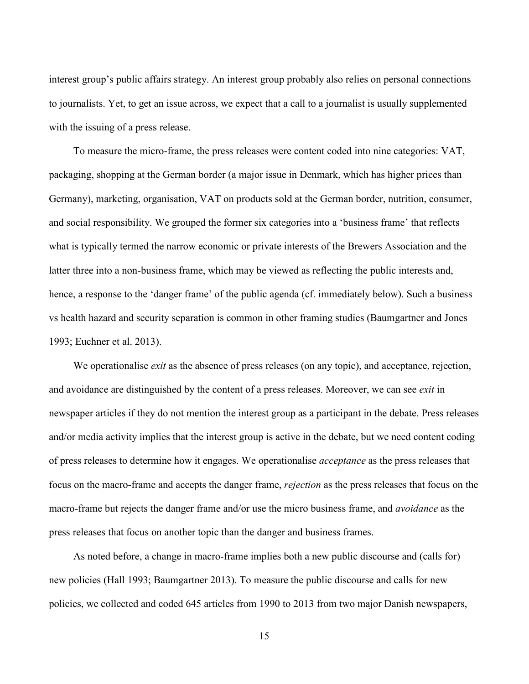interest group's public affairs strategy. An interest group probably also relies on personal connections to journalists. Yet, to get an issue across, we expect that a call to a journalist is usually supplemented with the issuing of a press release.

To measure the micro-frame, the press releases were content coded into nine categories: VAT, packaging, shopping at the German border (a major issue in Denmark, which has higher prices than Germany), marketing, organisation, VAT on products sold at the German border, nutrition, consumer, and social responsibility. We grouped the former six categories into a 'business frame' that reflects what is typically termed the narrow economic or private interests of the Brewers Association and the latter three into a non-business frame, which may be viewed as reflecting the public interests and, hence, a response to the 'danger frame' of the public agenda (cf. immediately below). Such a business vs health hazard and security separation is common in other framing studies (Baumgartner and Jones 1993; Euchner et al. 2013).

We operationalise *exit* as the absence of press releases (on any topic), and acceptance, rejection, and avoidance are distinguished by the content of a press releases. Moreover, we can see *exit* in newspaper articles if they do not mention the interest group as a participant in the debate. Press releases and/or media activity implies that the interest group is active in the debate, but we need content coding of press releases to determine how it engages. We operationalise *acceptance* as the press releases that focus on the macro-frame and accepts the danger frame, *rejection* as the press releases that focus on the macro-frame but rejects the danger frame and/or use the micro business frame, and *avoidance* as the press releases that focus on another topic than the danger and business frames.

As noted before, a change in macro-frame implies both a new public discourse and (calls for) new policies (Hall 1993; Baumgartner 2013). To measure the public discourse and calls for new policies, we collected and coded 645 articles from 1990 to 2013 from two major Danish newspapers,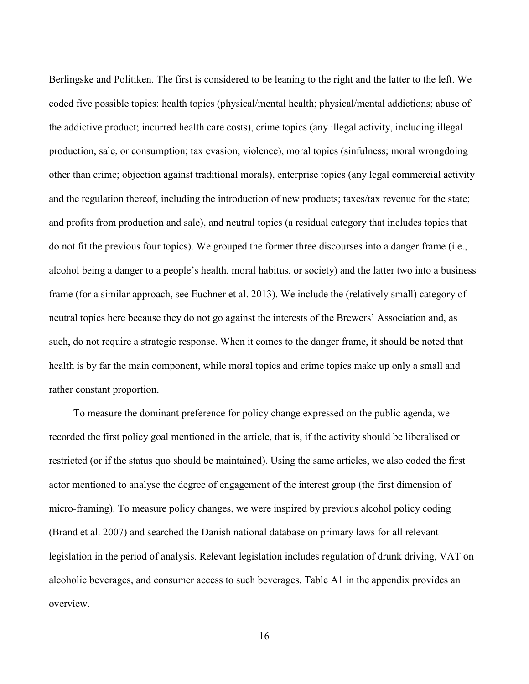Berlingske and Politiken. The first is considered to be leaning to the right and the latter to the left. We coded five possible topics: health topics (physical/mental health; physical/mental addictions; abuse of the addictive product; incurred health care costs), crime topics (any illegal activity, including illegal production, sale, or consumption; tax evasion; violence), moral topics (sinfulness; moral wrongdoing other than crime; objection against traditional morals), enterprise topics (any legal commercial activity and the regulation thereof, including the introduction of new products; taxes/tax revenue for the state; and profits from production and sale), and neutral topics (a residual category that includes topics that do not fit the previous four topics). We grouped the former three discourses into a danger frame (i.e., alcohol being a danger to a people's health, moral habitus, or society) and the latter two into a business frame (for a similar approach, see Euchner et al. 2013). We include the (relatively small) category of neutral topics here because they do not go against the interests of the Brewers' Association and, as such, do not require a strategic response. When it comes to the danger frame, it should be noted that health is by far the main component, while moral topics and crime topics make up only a small and rather constant proportion.

To measure the dominant preference for policy change expressed on the public agenda, we recorded the first policy goal mentioned in the article, that is, if the activity should be liberalised or restricted (or if the status quo should be maintained). Using the same articles, we also coded the first actor mentioned to analyse the degree of engagement of the interest group (the first dimension of micro-framing). To measure policy changes, we were inspired by previous alcohol policy coding (Brand et al. 2007) and searched the Danish national database on primary laws for all relevant legislation in the period of analysis. Relevant legislation includes regulation of drunk driving, VAT on alcoholic beverages, and consumer access to such beverages. Table A1 in the appendix provides an overview.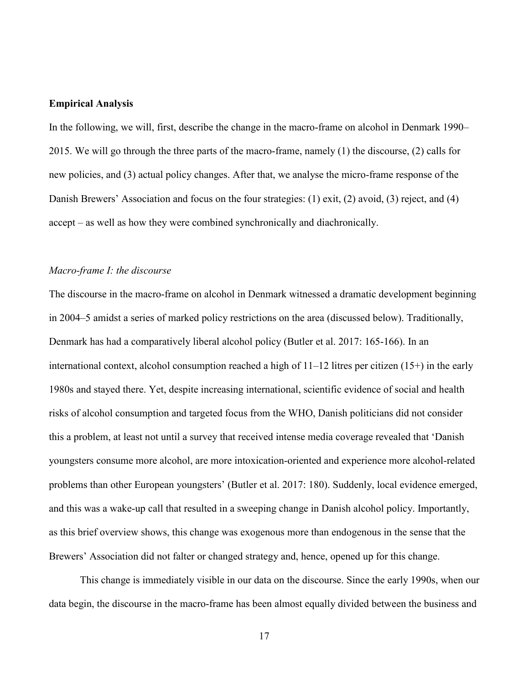#### **Empirical Analysis**

In the following, we will, first, describe the change in the macro-frame on alcohol in Denmark 1990– 2015. We will go through the three parts of the macro-frame, namely (1) the discourse, (2) calls for new policies, and (3) actual policy changes. After that, we analyse the micro-frame response of the Danish Brewers' Association and focus on the four strategies: (1) exit, (2) avoid, (3) reject, and (4) accept – as well as how they were combined synchronically and diachronically.

#### *Macro-frame I: the discourse*

The discourse in the macro-frame on alcohol in Denmark witnessed a dramatic development beginning in 2004–5 amidst a series of marked policy restrictions on the area (discussed below). Traditionally, Denmark has had a comparatively liberal alcohol policy (Butler et al. 2017: 165-166). In an international context, alcohol consumption reached a high of 11–12 litres per citizen (15+) in the early 1980s and stayed there. Yet, despite increasing international, scientific evidence of social and health risks of alcohol consumption and targeted focus from the WHO, Danish politicians did not consider this a problem, at least not until a survey that received intense media coverage revealed that 'Danish youngsters consume more alcohol, are more intoxication-oriented and experience more alcohol-related problems than other European youngsters' (Butler et al. 2017: 180). Suddenly, local evidence emerged, and this was a wake-up call that resulted in a sweeping change in Danish alcohol policy. Importantly, as this brief overview shows, this change was exogenous more than endogenous in the sense that the Brewers' Association did not falter or changed strategy and, hence, opened up for this change.

This change is immediately visible in our data on the discourse. Since the early 1990s, when our data begin, the discourse in the macro-frame has been almost equally divided between the business and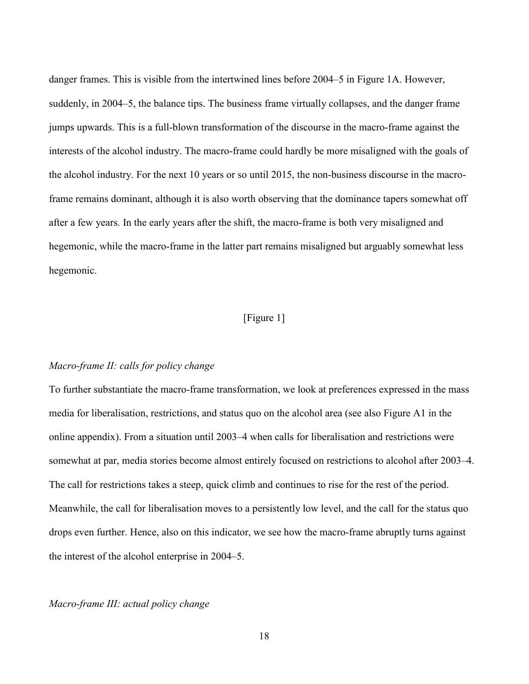danger frames. This is visible from the intertwined lines before 2004–5 in Figure 1A. However, suddenly, in 2004–5, the balance tips. The business frame virtually collapses, and the danger frame jumps upwards. This is a full-blown transformation of the discourse in the macro-frame against the interests of the alcohol industry. The macro-frame could hardly be more misaligned with the goals of the alcohol industry. For the next 10 years or so until 2015, the non-business discourse in the macroframe remains dominant, although it is also worth observing that the dominance tapers somewhat off after a few years. In the early years after the shift, the macro-frame is both very misaligned and hegemonic, while the macro-frame in the latter part remains misaligned but arguably somewhat less hegemonic.

#### [Figure 1]

#### *Macro-frame II: calls for policy change*

To further substantiate the macro-frame transformation, we look at preferences expressed in the mass media for liberalisation, restrictions, and status quo on the alcohol area (see also Figure A1 in the online appendix). From a situation until 2003–4 when calls for liberalisation and restrictions were somewhat at par, media stories become almost entirely focused on restrictions to alcohol after 2003–4. The call for restrictions takes a steep, quick climb and continues to rise for the rest of the period. Meanwhile, the call for liberalisation moves to a persistently low level, and the call for the status quo drops even further. Hence, also on this indicator, we see how the macro-frame abruptly turns against the interest of the alcohol enterprise in 2004–5.

#### *Macro-frame III: actual policy change*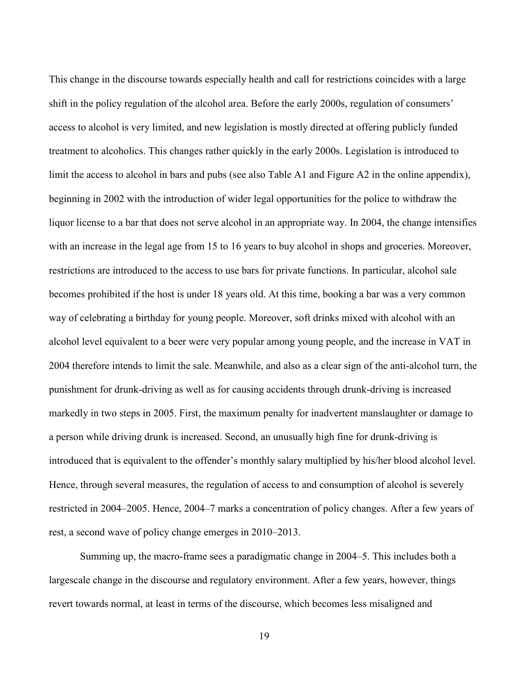This change in the discourse towards especially health and call for restrictions coincides with a large shift in the policy regulation of the alcohol area. Before the early 2000s, regulation of consumers' access to alcohol is very limited, and new legislation is mostly directed at offering publicly funded treatment to alcoholics. This changes rather quickly in the early 2000s. Legislation is introduced to limit the access to alcohol in bars and pubs (see also Table A1 and Figure A2 in the online appendix), beginning in 2002 with the introduction of wider legal opportunities for the police to withdraw the liquor license to a bar that does not serve alcohol in an appropriate way. In 2004, the change intensifies with an increase in the legal age from 15 to 16 years to buy alcohol in shops and groceries. Moreover, restrictions are introduced to the access to use bars for private functions. In particular, alcohol sale becomes prohibited if the host is under 18 years old. At this time, booking a bar was a very common way of celebrating a birthday for young people. Moreover, soft drinks mixed with alcohol with an alcohol level equivalent to a beer were very popular among young people, and the increase in VAT in 2004 therefore intends to limit the sale. Meanwhile, and also as a clear sign of the anti-alcohol turn, the punishment for drunk-driving as well as for causing accidents through drunk-driving is increased markedly in two steps in 2005. First, the maximum penalty for inadvertent manslaughter or damage to a person while driving drunk is increased. Second, an unusually high fine for drunk-driving is introduced that is equivalent to the offender's monthly salary multiplied by his/her blood alcohol level. Hence, through several measures, the regulation of access to and consumption of alcohol is severely restricted in 2004–2005. Hence, 2004–7 marks a concentration of policy changes. After a few years of rest, a second wave of policy change emerges in 2010–2013.

Summing up, the macro-frame sees a paradigmatic change in 2004–5. This includes both a largescale change in the discourse and regulatory environment. After a few years, however, things revert towards normal, at least in terms of the discourse, which becomes less misaligned and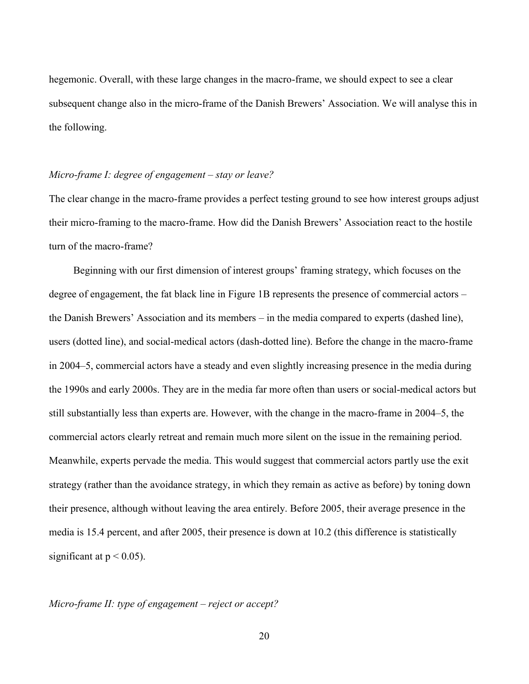hegemonic. Overall, with these large changes in the macro-frame, we should expect to see a clear subsequent change also in the micro-frame of the Danish Brewers' Association. We will analyse this in the following.

#### *Micro-frame I: degree of engagement – stay or leave?*

The clear change in the macro-frame provides a perfect testing ground to see how interest groups adjust their micro-framing to the macro-frame. How did the Danish Brewers' Association react to the hostile turn of the macro-frame?

Beginning with our first dimension of interest groups' framing strategy, which focuses on the degree of engagement, the fat black line in Figure 1B represents the presence of commercial actors – the Danish Brewers' Association and its members – in the media compared to experts (dashed line), users (dotted line), and social-medical actors (dash-dotted line). Before the change in the macro-frame in 2004–5, commercial actors have a steady and even slightly increasing presence in the media during the 1990s and early 2000s. They are in the media far more often than users or social-medical actors but still substantially less than experts are. However, with the change in the macro-frame in 2004–5, the commercial actors clearly retreat and remain much more silent on the issue in the remaining period. Meanwhile, experts pervade the media. This would suggest that commercial actors partly use the exit strategy (rather than the avoidance strategy, in which they remain as active as before) by toning down their presence, although without leaving the area entirely. Before 2005, their average presence in the media is 15.4 percent, and after 2005, their presence is down at 10.2 (this difference is statistically significant at  $p < 0.05$ ).

#### *Micro-frame II: type of engagement – reject or accept?*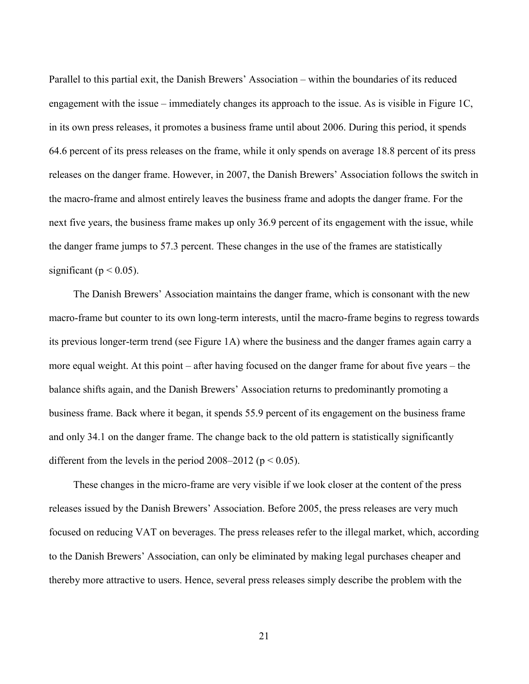Parallel to this partial exit, the Danish Brewers' Association – within the boundaries of its reduced engagement with the issue – immediately changes its approach to the issue. As is visible in Figure 1C, in its own press releases, it promotes a business frame until about 2006. During this period, it spends 64.6 percent of its press releases on the frame, while it only spends on average 18.8 percent of its press releases on the danger frame. However, in 2007, the Danish Brewers' Association follows the switch in the macro-frame and almost entirely leaves the business frame and adopts the danger frame. For the next five years, the business frame makes up only 36.9 percent of its engagement with the issue, while the danger frame jumps to 57.3 percent. These changes in the use of the frames are statistically significant ( $p < 0.05$ ).

The Danish Brewers' Association maintains the danger frame, which is consonant with the new macro-frame but counter to its own long-term interests, until the macro-frame begins to regress towards its previous longer-term trend (see Figure 1A) where the business and the danger frames again carry a more equal weight. At this point – after having focused on the danger frame for about five years – the balance shifts again, and the Danish Brewers' Association returns to predominantly promoting a business frame. Back where it began, it spends 55.9 percent of its engagement on the business frame and only 34.1 on the danger frame. The change back to the old pattern is statistically significantly different from the levels in the period  $2008-2012$  ( $p < 0.05$ ).

These changes in the micro-frame are very visible if we look closer at the content of the press releases issued by the Danish Brewers' Association. Before 2005, the press releases are very much focused on reducing VAT on beverages. The press releases refer to the illegal market, which, according to the Danish Brewers' Association, can only be eliminated by making legal purchases cheaper and thereby more attractive to users. Hence, several press releases simply describe the problem with the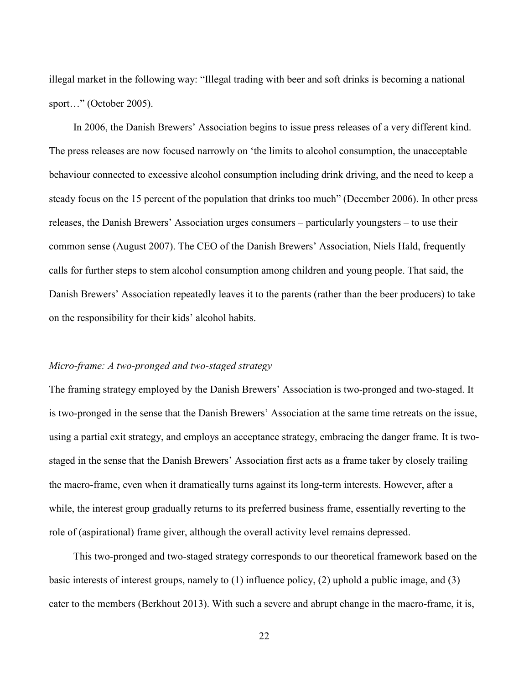illegal market in the following way: "Illegal trading with beer and soft drinks is becoming a national sport…" (October 2005).

In 2006, the Danish Brewers' Association begins to issue press releases of a very different kind. The press releases are now focused narrowly on 'the limits to alcohol consumption, the unacceptable behaviour connected to excessive alcohol consumption including drink driving, and the need to keep a steady focus on the 15 percent of the population that drinks too much" (December 2006). In other press releases, the Danish Brewers' Association urges consumers – particularly youngsters – to use their common sense (August 2007). The CEO of the Danish Brewers' Association, Niels Hald, frequently calls for further steps to stem alcohol consumption among children and young people. That said, the Danish Brewers' Association repeatedly leaves it to the parents (rather than the beer producers) to take on the responsibility for their kids' alcohol habits.

#### *Micro-frame: A two-pronged and two-staged strategy*

The framing strategy employed by the Danish Brewers' Association is two-pronged and two-staged. It is two-pronged in the sense that the Danish Brewers' Association at the same time retreats on the issue, using a partial exit strategy, and employs an acceptance strategy, embracing the danger frame. It is twostaged in the sense that the Danish Brewers' Association first acts as a frame taker by closely trailing the macro-frame, even when it dramatically turns against its long-term interests. However, after a while, the interest group gradually returns to its preferred business frame, essentially reverting to the role of (aspirational) frame giver, although the overall activity level remains depressed.

This two-pronged and two-staged strategy corresponds to our theoretical framework based on the basic interests of interest groups, namely to (1) influence policy, (2) uphold a public image, and (3) cater to the members (Berkhout 2013). With such a severe and abrupt change in the macro-frame, it is,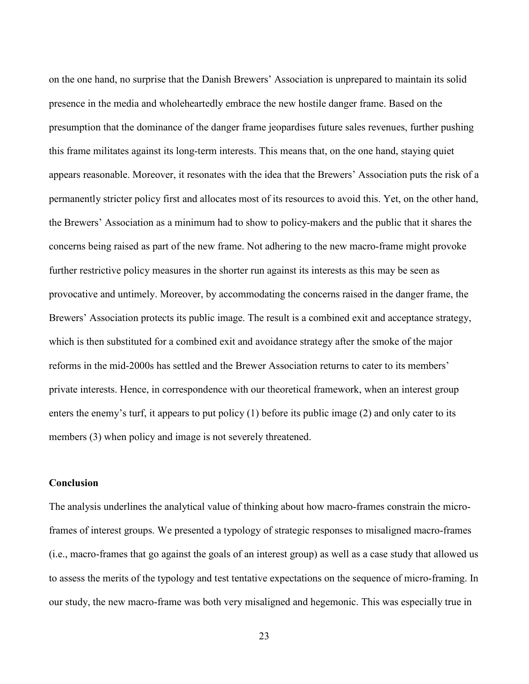on the one hand, no surprise that the Danish Brewers' Association is unprepared to maintain its solid presence in the media and wholeheartedly embrace the new hostile danger frame. Based on the presumption that the dominance of the danger frame jeopardises future sales revenues, further pushing this frame militates against its long-term interests. This means that, on the one hand, staying quiet appears reasonable. Moreover, it resonates with the idea that the Brewers' Association puts the risk of a permanently stricter policy first and allocates most of its resources to avoid this. Yet, on the other hand, the Brewers' Association as a minimum had to show to policy-makers and the public that it shares the concerns being raised as part of the new frame. Not adhering to the new macro-frame might provoke further restrictive policy measures in the shorter run against its interests as this may be seen as provocative and untimely. Moreover, by accommodating the concerns raised in the danger frame, the Brewers' Association protects its public image. The result is a combined exit and acceptance strategy, which is then substituted for a combined exit and avoidance strategy after the smoke of the major reforms in the mid-2000s has settled and the Brewer Association returns to cater to its members' private interests. Hence, in correspondence with our theoretical framework, when an interest group enters the enemy's turf, it appears to put policy (1) before its public image (2) and only cater to its members (3) when policy and image is not severely threatened.

#### **Conclusion**

The analysis underlines the analytical value of thinking about how macro-frames constrain the microframes of interest groups. We presented a typology of strategic responses to misaligned macro-frames (i.e., macro-frames that go against the goals of an interest group) as well as a case study that allowed us to assess the merits of the typology and test tentative expectations on the sequence of micro-framing. In our study, the new macro-frame was both very misaligned and hegemonic. This was especially true in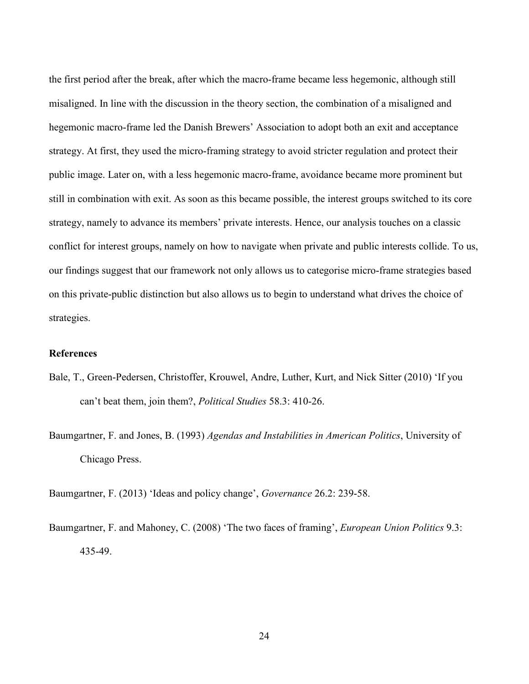the first period after the break, after which the macro-frame became less hegemonic, although still misaligned. In line with the discussion in the theory section, the combination of a misaligned and hegemonic macro-frame led the Danish Brewers' Association to adopt both an exit and acceptance strategy. At first, they used the micro-framing strategy to avoid stricter regulation and protect their public image. Later on, with a less hegemonic macro-frame, avoidance became more prominent but still in combination with exit. As soon as this became possible, the interest groups switched to its core strategy, namely to advance its members' private interests. Hence, our analysis touches on a classic conflict for interest groups, namely on how to navigate when private and public interests collide. To us, our findings suggest that our framework not only allows us to categorise micro-frame strategies based on this private-public distinction but also allows us to begin to understand what drives the choice of strategies.

#### **References**

- Bale, T., Green-Pedersen, Christoffer, Krouwel, Andre, Luther, Kurt, and Nick Sitter (2010) 'If you can't beat them, join them?, *Political Studies* 58.3: 410-26.
- Baumgartner, F. and Jones, B. (1993) *Agendas and Instabilities in American Politics*, University of Chicago Press.

Baumgartner, F. (2013) 'Ideas and policy change', *Governance* 26.2: 239-58.

Baumgartner, F. and Mahoney, C. (2008) 'The two faces of framing', *European Union Politics* 9.3: 435-49.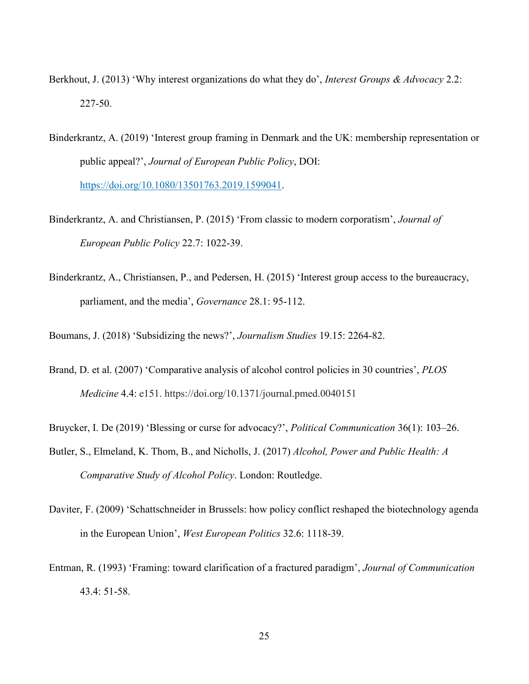- Berkhout, J. (2013) 'Why interest organizations do what they do', *Interest Groups & Advocacy* 2.2: 227-50.
- Binderkrantz, A. (2019) 'Interest group framing in Denmark and the UK: membership representation or public appeal?', *Journal of European Public Policy*, DOI: [https://doi.org/10.1080/13501763.2019.1599041.](https://doi.org/10.1080/13501763.2019.1599041)
- Binderkrantz, A. and Christiansen, P. (2015) 'From classic to modern corporatism', *Journal of European Public Policy* 22.7: 1022-39.
- Binderkrantz, A., Christiansen, P., and Pedersen, H. (2015) 'Interest group access to the bureaucracy, parliament, and the media', *Governance* 28.1: 95-112.
- Boumans, J. (2018) 'Subsidizing the news?', *Journalism Studies* 19.15: 2264-82.
- Brand, D. et al. (2007) 'Comparative analysis of alcohol control policies in 30 countries', *PLOS Medicine* 4.4: e151. https://doi.org/10.1371/journal.pmed.0040151
- Bruycker, I. De (2019) 'Blessing or curse for advocacy?', *Political Communication* 36(1): 103–26.
- Butler, S., Elmeland, K. Thom, B., and Nicholls, J. (2017) *Alcohol, Power and Public Health: A Comparative Study of Alcohol Policy*. London: Routledge.
- Daviter, F. (2009) 'Schattschneider in Brussels: how policy conflict reshaped the biotechnology agenda in the European Union', *West European Politics* 32.6: 1118-39.
- Entman, R. (1993) 'Framing: toward clarification of a fractured paradigm', *Journal of Communication* 43.4: 51-58.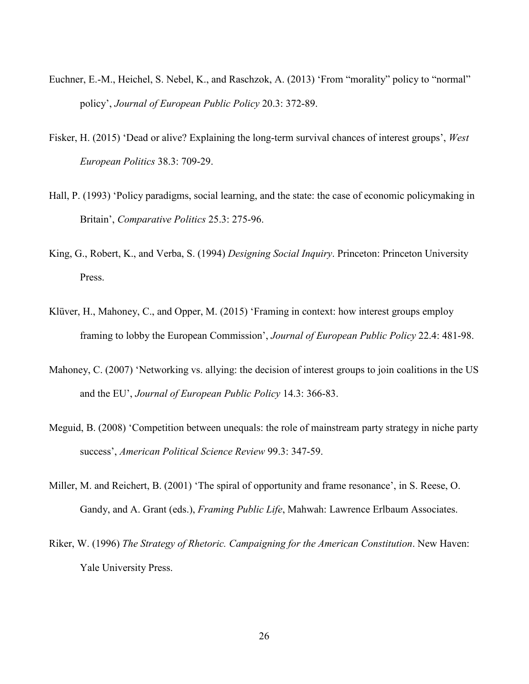- Euchner, E.-M., Heichel, S. Nebel, K., and Raschzok, A. (2013) 'From "morality" policy to "normal" policy', *Journal of European Public Policy* 20.3: 372-89.
- Fisker, H. (2015) 'Dead or alive? Explaining the long-term survival chances of interest groups', *West European Politics* 38.3: 709-29.
- Hall, P. (1993) 'Policy paradigms, social learning, and the state: the case of economic policymaking in Britain', *Comparative Politics* 25.3: 275-96.
- King, G., Robert, K., and Verba, S. (1994) *Designing Social Inquiry*. Princeton: Princeton University Press.
- Klüver, H., Mahoney, C., and Opper, M. (2015) 'Framing in context: how interest groups employ framing to lobby the European Commission', *Journal of European Public Policy* 22.4: 481-98.
- Mahoney, C. (2007) 'Networking vs. allying: the decision of interest groups to join coalitions in the US and the EU', *Journal of European Public Policy* 14.3: 366-83.
- Meguid, B. (2008) 'Competition between unequals: the role of mainstream party strategy in niche party success', *American Political Science Review* 99.3: 347-59.
- Miller, M. and Reichert, B. (2001) 'The spiral of opportunity and frame resonance', in S. Reese, O. Gandy, and A. Grant (eds.), *Framing Public Life*, Mahwah: Lawrence Erlbaum Associates.
- Riker, W. (1996) *The Strategy of Rhetoric. Campaigning for the American Constitution*. New Haven: Yale University Press.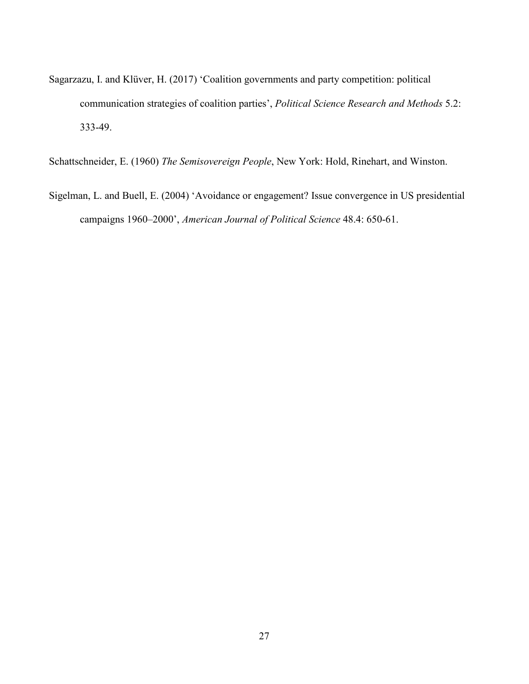Sagarzazu, I. and Klüver, H. (2017) 'Coalition governments and party competition: political communication strategies of coalition parties', *Political Science Research and Methods* 5.2: 333-49.

Schattschneider, E. (1960) *The Semisovereign People*, New York: Hold, Rinehart, and Winston.

Sigelman, L. and Buell, E. (2004) 'Avoidance or engagement? Issue convergence in US presidential campaigns 1960–2000', *American Journal of Political Science* 48.4: 650-61.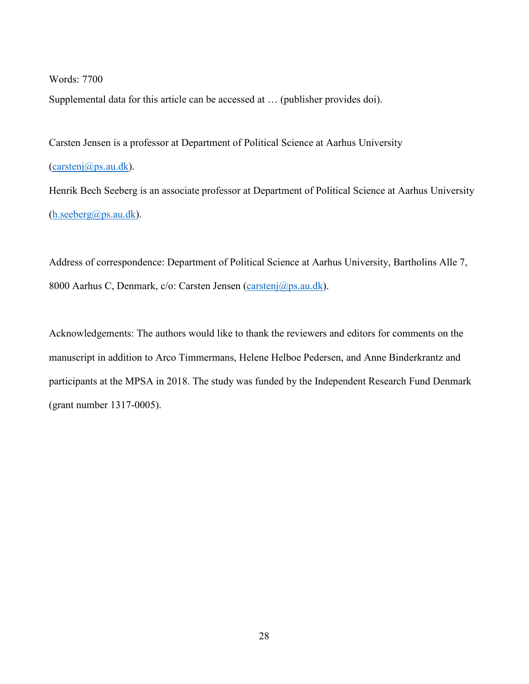#### Words: 7700

Supplemental data for this article can be accessed at … (publisher provides doi).

Carsten Jensen is a professor at Department of Political Science at Aarhus University  $(carsten@ps.au.dk).$ 

Henrik Bech Seeberg is an associate professor at Department of Political Science at Aarhus University [\(h.seeberg@ps.au.dk\)](mailto:h.seeberg@ps.au.dk).

Address of correspondence: Department of Political Science at Aarhus University, Bartholins Alle 7, 8000 Aarhus C, Denmark, c/o: Carsten Jensen [\(carstenj@ps.au.dk\)](mailto:carstenj@ps.au.dk).

Acknowledgements: The authors would like to thank the reviewers and editors for comments on the manuscript in addition to Arco Timmermans, Helene Helboe Pedersen, and Anne Binderkrantz and participants at the MPSA in 2018. The study was funded by the Independent Research Fund Denmark (grant number 1317-0005).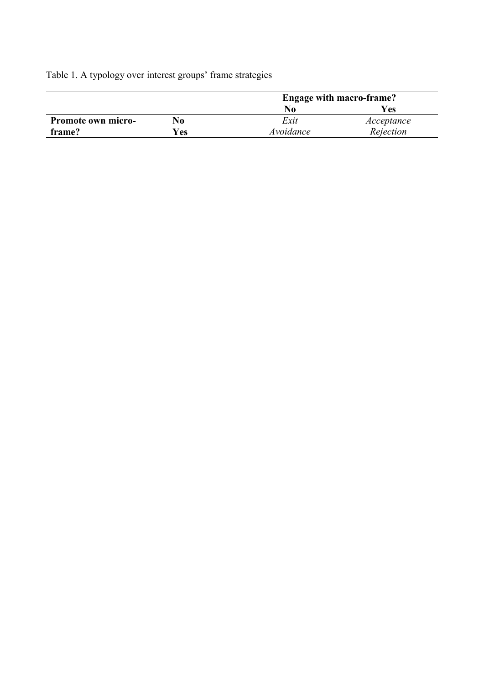### Table 1. A typology over interest groups' frame strategies

|                           |     | <b>Engage with macro-frame?</b> |            |
|---------------------------|-----|---------------------------------|------------|
|                           |     | No                              | Yes.       |
| <b>Promote own micro-</b> | No  | Exit                            | Acceptance |
| frame?                    | Yes | Avoidance                       | Rejection  |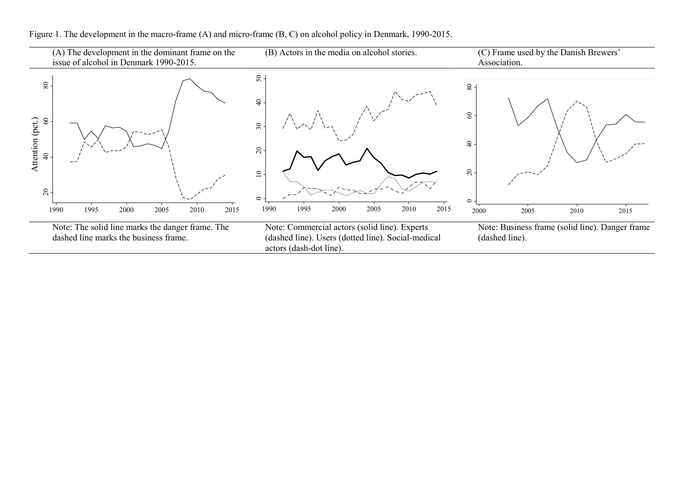

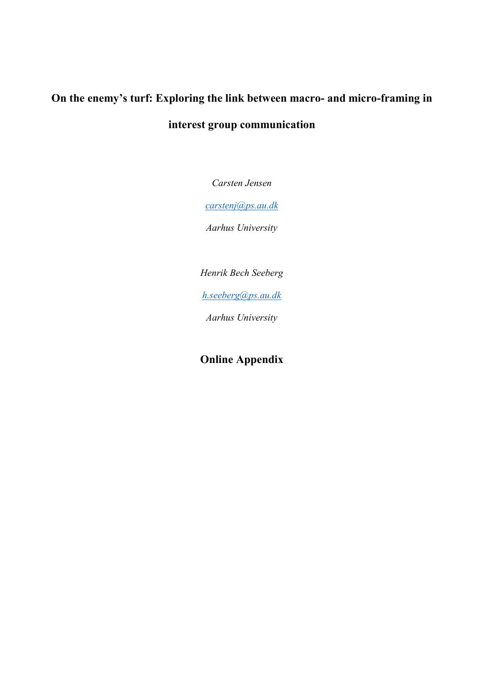# **On the enemy's turf: Exploring the link between macro- and micro-framing in interest group communication**

*Carsten Jensen*

*[carstenj@ps.au.dk](mailto:carstenj@ps.au.dk)*

*Aarhus University*

*Henrik Bech Seeberg*

*[h.seeberg@ps.au.dk](mailto:h.seeberg@ps.au.dk)*

*Aarhus University*

**Online Appendix**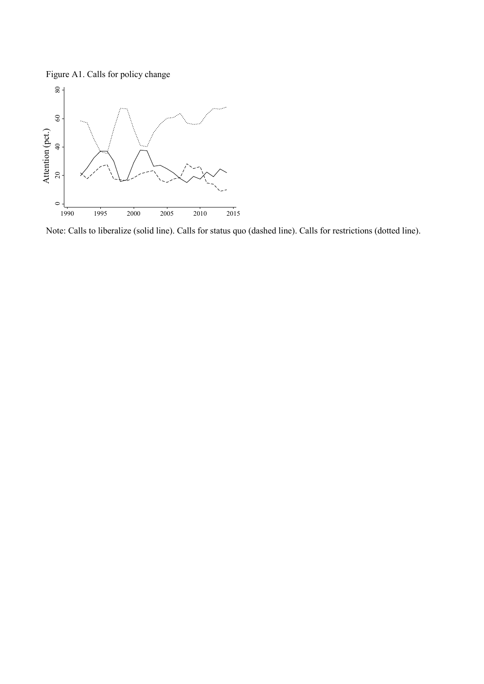Figure A1. Calls for policy change



Note: Calls to liberalize (solid line). Calls for status quo (dashed line). Calls for restrictions (dotted line).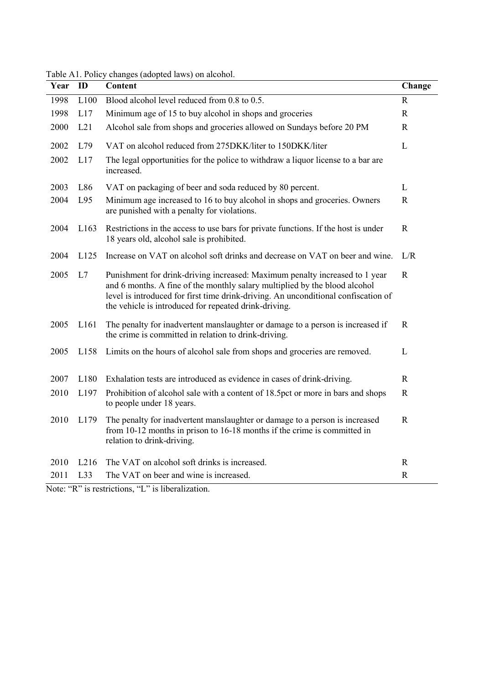| Year | ID               | Content                                                                                                                                                                                                                                                                                                  | Change       |
|------|------------------|----------------------------------------------------------------------------------------------------------------------------------------------------------------------------------------------------------------------------------------------------------------------------------------------------------|--------------|
| 1998 | L100             | Blood alcohol level reduced from 0.8 to 0.5.                                                                                                                                                                                                                                                             | $\mathbf{R}$ |
| 1998 | L17              | Minimum age of 15 to buy alcohol in shops and groceries                                                                                                                                                                                                                                                  | $\mathbf R$  |
| 2000 | L21              | Alcohol sale from shops and groceries allowed on Sundays before 20 PM                                                                                                                                                                                                                                    | $\mathbf{R}$ |
| 2002 | L79              | VAT on alcohol reduced from 275DKK/liter to 150DKK/liter                                                                                                                                                                                                                                                 | L            |
| 2002 | L17              | The legal opportunities for the police to withdraw a liquor license to a bar are<br>increased.                                                                                                                                                                                                           |              |
| 2003 | L86              | VAT on packaging of beer and soda reduced by 80 percent.                                                                                                                                                                                                                                                 | L            |
| 2004 | L95              | Minimum age increased to 16 to buy alcohol in shops and groceries. Owners<br>are punished with a penalty for violations.                                                                                                                                                                                 | $\mathbf R$  |
| 2004 | L163             | Restrictions in the access to use bars for private functions. If the host is under<br>18 years old, alcohol sale is prohibited.                                                                                                                                                                          | $\mathbf R$  |
| 2004 | L125             | Increase on VAT on alcohol soft drinks and decrease on VAT on beer and wine.                                                                                                                                                                                                                             | L/R          |
| 2005 | L7               | Punishment for drink-driving increased: Maximum penalty increased to 1 year<br>and 6 months. A fine of the monthly salary multiplied by the blood alcohol<br>level is introduced for first time drink-driving. An unconditional confiscation of<br>the vehicle is introduced for repeated drink-driving. | $\mathbb{R}$ |
| 2005 | L <sub>161</sub> | The penalty for inadvertent manslaughter or damage to a person is increased if<br>the crime is committed in relation to drink-driving.                                                                                                                                                                   | $\mathbf R$  |
| 2005 | L158             | Limits on the hours of alcohol sale from shops and groceries are removed.                                                                                                                                                                                                                                | L            |
| 2007 | L <sub>180</sub> | Exhalation tests are introduced as evidence in cases of drink-driving.                                                                                                                                                                                                                                   | $\mathbf R$  |
| 2010 | L197             | Prohibition of alcohol sale with a content of 18.5pct or more in bars and shops<br>to people under 18 years.                                                                                                                                                                                             | $\mathbf R$  |
| 2010 | L179             | The penalty for inadvertent manslaughter or damage to a person is increased<br>from 10-12 months in prison to 16-18 months if the crime is committed in<br>relation to drink-driving.                                                                                                                    | $\mathbb{R}$ |
| 2010 | L216             | The VAT on alcohol soft drinks is increased.                                                                                                                                                                                                                                                             | $\mathbb{R}$ |
| 2011 | L33              | The VAT on beer and wine is increased.                                                                                                                                                                                                                                                                   | $\mathbf R$  |

Table A1. Policy changes (adopted laws) on alcohol.

Note: "R" is restrictions, "L" is liberalization.